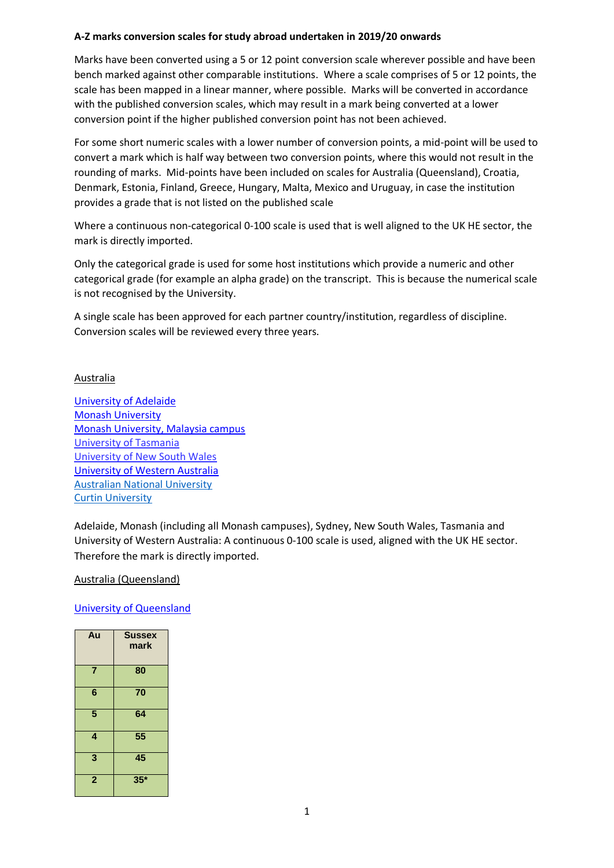## **A-Z marks conversion scales for study abroad undertaken in 2019/20 onwards**

Marks have been converted using a 5 or 12 point conversion scale wherever possible and have been bench marked against other comparable institutions. Where a scale comprises of 5 or 12 points, the scale has been mapped in a linear manner, where possible. Marks will be converted in accordance with the published conversion scales, which may result in a mark being converted at a lower conversion point if the higher published conversion point has not been achieved.

For some short numeric scales with a lower number of conversion points, a mid-point will be used to convert a mark which is half way between two conversion points, where this would not result in the rounding of marks. Mid-points have been included on scales for Australia (Queensland), Croatia, Denmark, Estonia, Finland, Greece, Hungary, Malta, Mexico and Uruguay, in case the institution provides a grade that is not listed on the published scale

Where a continuous non-categorical 0-100 scale is used that is well aligned to the UK HE sector, the mark is directly imported.

Only the categorical grade is used for some host institutions which provide a numeric and other categorical grade (for example an alpha grade) on the transcript. This is because the numerical scale is not recognised by the University.

A single scale has been approved for each partner country/institution, regardless of discipline. Conversion scales will be reviewed every three years.

#### Australia

[University of Adelaide](http://www.adelaide.edu.au/) [Monash University](http://www.monash.edu.au/) [Monash University, Malaysia campus](http://www.monash.edu.my/) [University of Tasmania](http://www.utas.edu.au/) [University of New South Wales](https://www.unsw.edu.au/) [University of Western Australia](http://www.uwa.edu.au/) [Australian National University](https://www.anu.edu.au/) **[Curtin University](https://www.curtin.edu.au/)** 

Adelaide, Monash (including all Monash campuses), Sydney, New South Wales, Tasmania and University of Western Australia: A continuous 0-100 scale is used, aligned with the UK HE sector. Therefore the mark is directly imported.

Australia (Queensland)

#### [University of Queensland](http://www.uq.edu.au/)

| Au             | <b>Sussex</b><br>mark |
|----------------|-----------------------|
| 7              | 80                    |
| 6              | 70                    |
| 5              | 64                    |
| 4              | 55                    |
| 3              | 45                    |
| $\overline{2}$ | $35*$                 |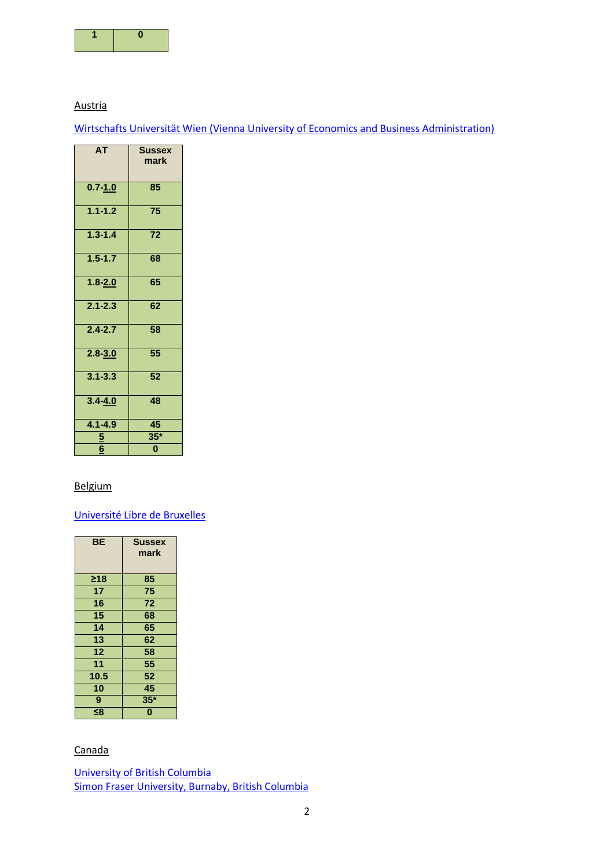

## Austria

[Wirtschafts Universität Wien \(Vienna University of Economics and Business Administration\)](http://www.wu-wien.ac.at/)

| AT          | <b>Sussex</b><br>mark |
|-------------|-----------------------|
| $0.7 - 1.0$ | $\overline{85}$       |
| $1.1 - 1.2$ | 75                    |
| $1.3 - 1.4$ | 72                    |
| $1.5 - 1.7$ | 68                    |
| $1.8 - 2.0$ | 65                    |
| $2.1 - 2.3$ | 62                    |
| $2.4 - 2.7$ | 58                    |
| $2.8 - 3.0$ | 55                    |
| $3.1 - 3.3$ | $\overline{52}$       |
| $3.4 - 4.0$ | 48                    |
| $4.1 - 4.9$ | 45                    |
| <u>5</u>    | $35*$                 |
| 6           | 0                     |
|             |                       |

## Belgium

## [Université Libre de Bruxelles](http://www.ulb.ac.be/)

| <b>BE</b> | <b>Sussex</b><br>mark |
|-----------|-----------------------|
| $\geq 18$ | 85                    |
| 17        | 75                    |
| 16        | 72                    |
| 15        | 68                    |
| 14        | 65                    |
| 13        | 62                    |
| 12        | 58                    |
| 11        | 55                    |
| 10.5      | 52                    |
| 10        | 45                    |
| 9         | $35*$                 |
| ≤8        | $\bf{0}$              |

## Canada

[University of British Columbia](http://www.ubc.ca/) [Simon Fraser University, Burnaby, British Columbia](http://www.sfu.ca/)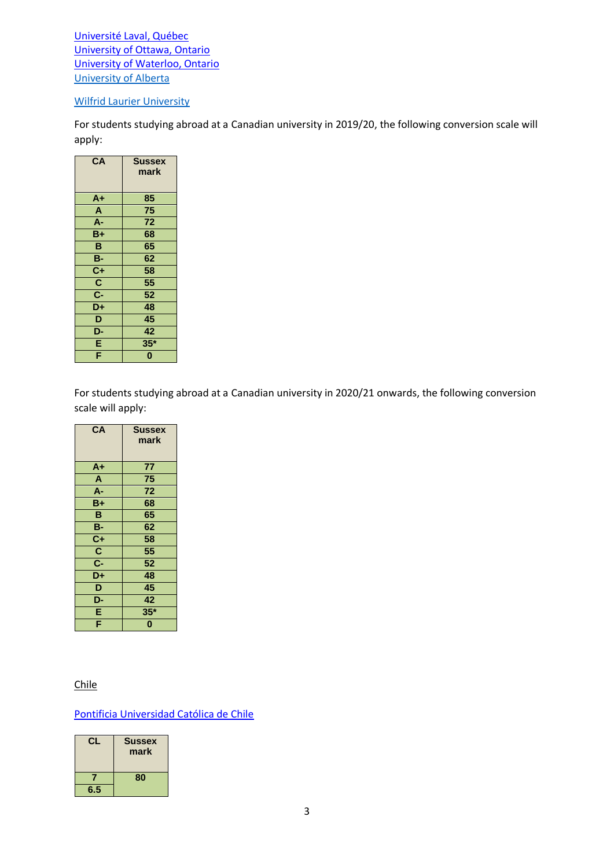[Université Laval, Québec](http://www.ulaval.ca/) [University of Ottawa, Ontario](http://www.uottawa.ca/en) [University of Waterloo, Ontario](http://www.uwaterloo.ca/) [University of Alberta](https://www.ualberta.ca/)

#### [Wilfrid Laurier University](https://www.wlu.ca/)

For students studying abroad at a Canadian university in 2019/20, the following conversion scale will apply:

| CA                      | <b>Sussex</b><br>mark   |
|-------------------------|-------------------------|
| $A+$                    | 85                      |
| A                       | 75                      |
| A-                      | 72                      |
| $B+$                    | 68                      |
| B                       | 65                      |
| <b>B-</b>               | 62                      |
| $\overline{c}$ +        | 58                      |
| $\overline{\mathsf{c}}$ | 55                      |
| $\overline{C}$ -        | 52                      |
| $\overline{D+}$         | 48                      |
| D                       | 45                      |
| D-                      | 42                      |
| E                       | $35*$                   |
| F                       | $\overline{\mathbf{0}}$ |

For students studying abroad at a Canadian university in 2020/21 onwards, the following conversion scale will apply:

| $\overline{CA}$         | <b>Sussex</b><br>mark   |
|-------------------------|-------------------------|
| $A+$                    | 77                      |
| $\mathsf{A}$            | 75                      |
| A-                      | 72                      |
| $B+$                    | 68                      |
| B                       | 65                      |
| <b>B-</b>               | 62                      |
| $C+$                    | 58                      |
| $\overline{\mathsf{c}}$ | 55                      |
| $\overline{C}$          | 52                      |
| $\overline{D+}$         | 48                      |
| D                       | 45                      |
| D-                      | 42                      |
| E                       | $35*$                   |
| F                       | $\overline{\mathbf{0}}$ |

Chile

[Pontificia Universidad Católica de Chile](http://www.puc.cl/)

|     | <b>Sussex</b><br>mark |
|-----|-----------------------|
|     | 80                    |
| 6.5 |                       |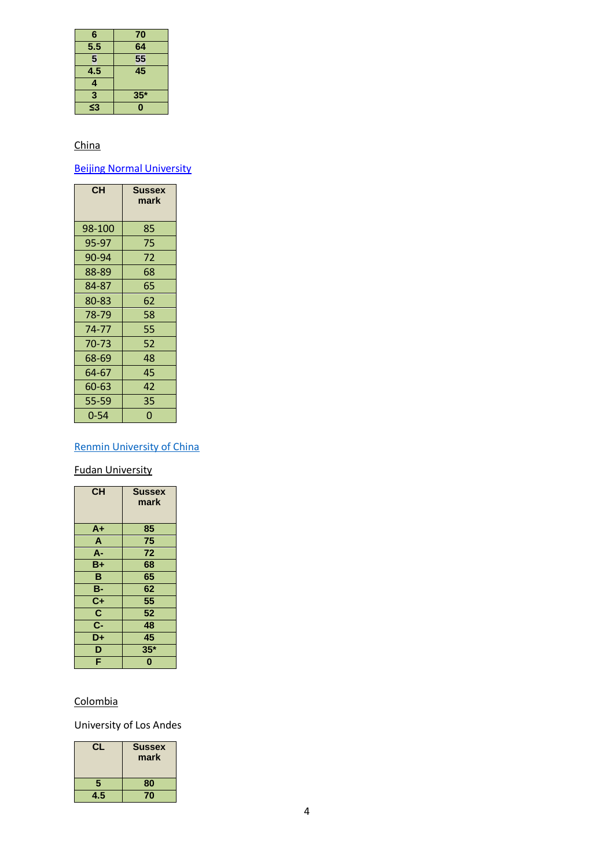| 6   | 70    |
|-----|-------|
| 5.5 | 64    |
| 5   | 55    |
| 4.5 | 45    |
| 4   |       |
| 3   | $35*$ |
| ≤3  | n     |

# China

# **[Beijing Normal University](http://english.bnu.edu.cn/)**

| <b>CH</b> | <b>Sussex</b><br>mark |
|-----------|-----------------------|
| 98-100    | 85                    |
| 95-97     | 75                    |
| 90-94     | 72                    |
| 88-89     | 68                    |
| 84-87     | 65                    |
| 80-83     | 62                    |
| 78-79     | 58                    |
| 74-77     | 55                    |
| 70-73     | 52                    |
| 68-69     | 48                    |
| 64-67     | 45                    |
| 60-63     | 42                    |
| 55-59     | 35                    |
| $0 - 54$  | 0                     |

# [Renmin University of China](http://www.ruc.edu.cn/en1024)

## Fudan University

| <b>CH</b>               | <b>Sussex</b><br>mark |
|-------------------------|-----------------------|
| $A+$                    | 85                    |
| A                       | 75                    |
| A-                      | 72                    |
| B+                      | 68                    |
| B                       | 65                    |
| в-                      | 62                    |
| $\overline{c}$ +        | 55                    |
| $\overline{\mathsf{c}}$ | 52                    |
| $\overline{C}$          | 48                    |
| $\overline{D+}$         | 45                    |
| D                       | $35*$                 |
| Ë                       | Ō                     |

# Colombia

University of Los Andes

|     | <b>Sussex</b><br>mark |
|-----|-----------------------|
| 5   | 80                    |
| 4.5 | 70                    |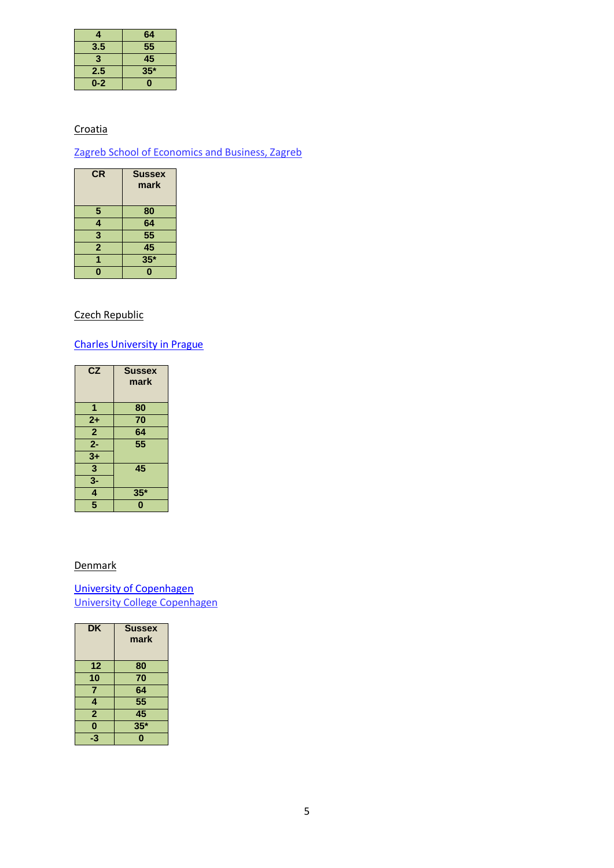| 4       | 64    |
|---------|-------|
| 3.5     | 55    |
| 3       | 45    |
| 2.5     | $35*$ |
| $0 - 2$ | 0     |

# **Croatia**

[Zagreb School of Economics and Business, Zagreb](http://www.zsem.hr/en/)

| <b>CR</b>      | <b>Sussex</b><br>mark |
|----------------|-----------------------|
| 5              | 80                    |
| 4              | 64                    |
| 3              | $\overline{55}$       |
| $\overline{2}$ | $\overline{45}$       |
|                | $35*$                 |
|                | ī                     |

# Czech Republic

[Charles University in Prague](http://www.cuni.cz/)

| $\overline{\text{CZ}}$  | <b>Sussex</b><br>mark |
|-------------------------|-----------------------|
| 1                       | 80                    |
| $2+$                    | 70                    |
| $\overline{2}$          | 64                    |
| $\overline{2}$ -        | 55                    |
| $3+$                    |                       |
| $\overline{\mathbf{3}}$ | 45                    |
| $3-$                    |                       |
| 4                       | $35*$                 |
| 5                       | Ô                     |

## **Denmark**

[University of Copenhagen](http://www.ku.dk/) [University College Copenhagen](https://ucc.dk/international)

| <b>DK</b>       | <b>Sussex</b><br>mark |
|-----------------|-----------------------|
| 12              | 80                    |
| $\overline{10}$ | $\overline{70}$       |
| 7               | 64                    |
| 4               | $\overline{55}$       |
| 2               | 45                    |
| 0               | $35*$                 |
| B               | п                     |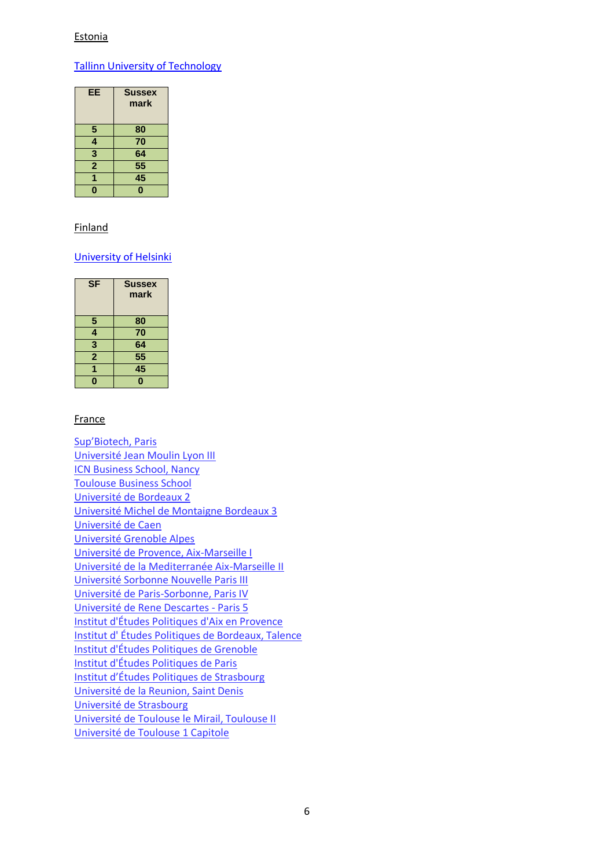## Estonia

## [Tallinn University of Technology](http://www.ttu.ee/en)

| EE                  | <b>Sussex</b><br>mark |
|---------------------|-----------------------|
| 5                   | 80                    |
| 4                   | $\overline{70}$       |
| 3                   | 64                    |
| $\ddot{\textbf{c}}$ | $\overline{55}$       |
|                     | 45                    |
|                     |                       |

#### Finland

## [University of Helsinki](http://www.helsinki.fi/university/index.html)

| <b>SF</b>      | <b>Sussex</b><br>mark |
|----------------|-----------------------|
| 5              | 80                    |
| 4              | $\overline{70}$       |
| 3              | 64                    |
| $\overline{2}$ | $\overline{55}$       |
|                | 45                    |
|                |                       |

#### **France**

[Sup'Biotech, Paris](http://www.supbiotech.fr/en/) [Université Jean Moulin Lyon III](http://www.univ-lyon3.fr/en/) [ICN Business School, Nancy](http://www.icn-groupe.fr/en) [Toulouse Business School](http://www.tbs-education.fr/en) [Université de Bordeaux 2](http://www.u-bordeaux2.fr/index.jsp) [Université Michel de Montaigne Bordeaux 3](http://www.u-bordeaux3.fr/fr/index.html) [Université de Caen](http://www.unicaen.fr/) [Université Grenoble Alpes](http://www.univ-grenoble-alpes.fr/) [Université de Provence, Aix-Marseille I](http://www.up.univ-mrs.fr/) [Université de la Mediterranée Aix-Marseille II](http://www.univmed.fr/) [Université Sorbonne Nouvelle Paris III](http://www.univ-paris3.fr/) [Université de Paris-Sorbonne, Paris IV](http://www.paris-sorbonne.fr/fr/) [Université de Rene Descartes -](http://www.parisdescartes.fr/) Paris 5 [Institut d'Études Politiques d'Aix en Provence](http://www.sciences-po.fr/portail/) [Institut d' Études Politiques de Bordeaux, Talence](http://www.sciencespobordeaux.fr/) [Institut d'Études Politiques de Grenoble](http://www.u-grenoble3.fr/13763376/0/fiche___pagelibre/) [Institut d'Études Politiques de Paris](http://www.sciences-po.fr/portail/) [Institut d'Études Politiques de Strasbourg](http://www.iep-strasbourg.fr/) [Université de la Reunion, Saint Denis](http://www.univ-reunion.fr/) [Université de Strasbourg](https://www.unistra.fr/index.php?id=accueil) [Université de Toulouse le Mirail, Toulouse II](http://www.univ-tlse2.fr/36392593/0/fiche___pagelibre/&RH=) [Université de Toulouse 1 Capitole](http://www.ut-capitole.fr/)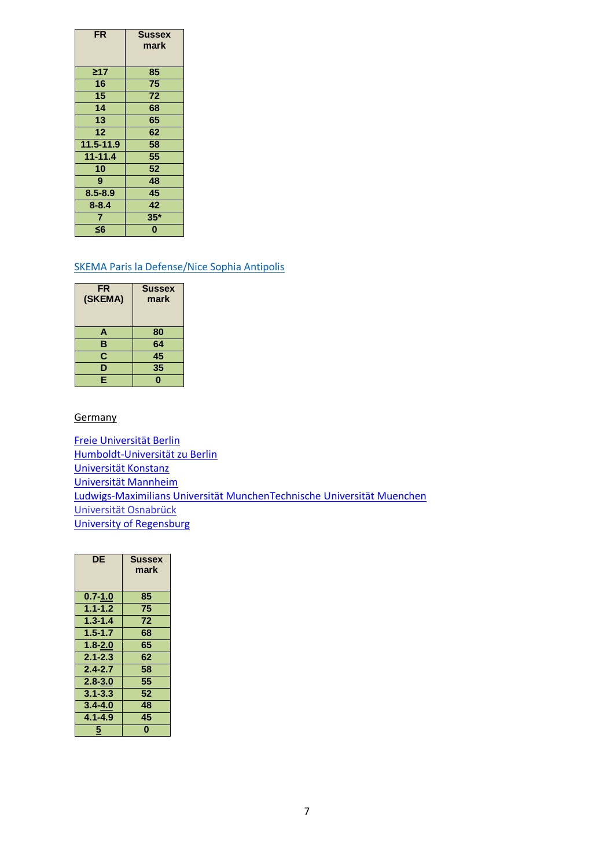| <b>FR</b>       | <b>Sussex</b><br>mark |
|-----------------|-----------------------|
| $\geq$ 17       | 85                    |
| 16              | 75                    |
| 15              | 72                    |
| 14              | 68                    |
| 13              | 65                    |
| 12 <sup>2</sup> | 62                    |
| $11.5 - 11.9$   | 58                    |
| $11 - 11.4$     | 55                    |
| 10              | 52                    |
| 9               | 48                    |
| $8.5 - 8.9$     | 45                    |
| $8 - 8.4$       | 42                    |
| 7               | $35*$                 |
| ≤6              | 0                     |

## [SKEMA Paris la Defense/Nice Sophia Antipolis](https://www.skema.edu/)

| <b>FR</b><br>(SKEMA)    | <b>Sussex</b><br>mark |
|-------------------------|-----------------------|
| Α                       | 80                    |
| в                       | 64                    |
| $\overline{\textbf{c}}$ | $\overline{45}$       |
| D                       | 35                    |
| E                       |                       |

#### **Germany**

[Freie Universität Berlin](http://www.fu-berlin.de/) [Humboldt-Universität zu Berlin](http://www.hu-berlin.de/) [Universität Konstanz](http://www.uni-konstanz.de/)  [Universität Mannheim](http://www.uni-mannheim.de/index-E.html) Ludwigs-Maximilians Universität Munche[nTechnische Universität Muenchen](http://www.ma.tum.de/) [Universität Osnabrück](http://www.uni-osnabrueck.de/en/home.html) [University of Regensburg](http://www.uni-regensburg.de/index.html.en)

| <b>DE</b>   | <b>Sussex</b><br>mark |
|-------------|-----------------------|
| $0.7 - 1.0$ | 85                    |
| $1.1 - 1.2$ | 75                    |
| $1.3 - 1.4$ | 72                    |
| $1.5 - 1.7$ | 68                    |
| $1.8 - 2.0$ | 65                    |
| $2.1 - 2.3$ | 62                    |
| $2.4 - 2.7$ | 58                    |
| $2.8 - 3.0$ | 55                    |
| $3.1 - 3.3$ | 52                    |
| $3.4 - 4.0$ | 48                    |
| $4.1 - 4.9$ | 45                    |
| 5           | 0                     |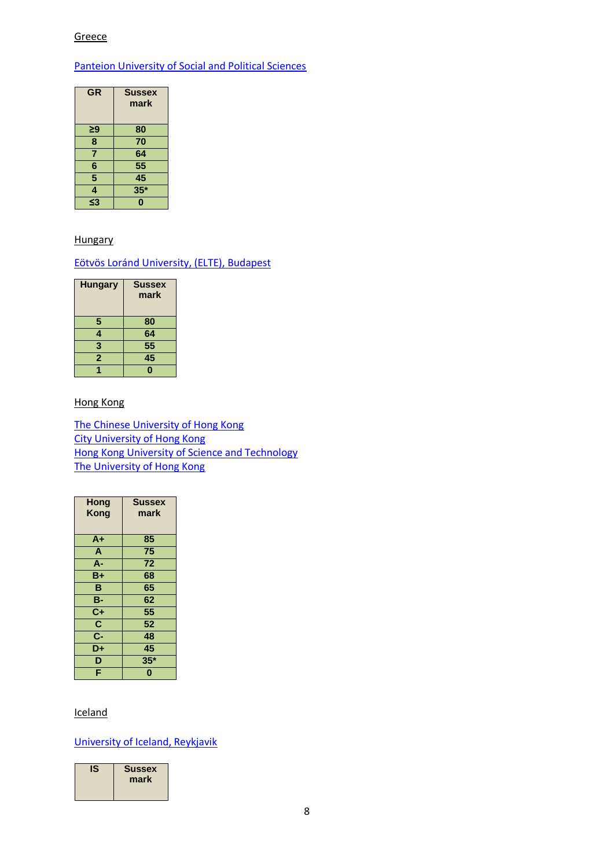#### **Greece**

## [Panteion University of Social and Political Sciences](http://www.panteion.gr/)

| <b>GR</b>               | <b>Sussex</b><br>mark |
|-------------------------|-----------------------|
| ≥9                      | 80                    |
| $\overline{\mathbf{8}}$ | 70                    |
| 7                       | 64                    |
| $\overline{6}$          | $\overline{55}$       |
| 5                       | 45                    |
| 4                       | $35*$                 |
| ≤3                      |                       |

#### **Hungary**

## Eötvös Loránd University, (ELTE), Budapest

| <b>Hungary</b> | <b>Sussex</b><br>mark |
|----------------|-----------------------|
| 5              | 80                    |
| 4              | 64                    |
| 3              | 55                    |
| $\overline{2}$ | 45                    |
|                |                       |

## Hong Kong

[The Chinese University of Hong Kong](http://www.cuhk.edu.hk/english/index.html) [City University of Hong Kong](http://www.cityu.edu.hk/) [Hong Kong University of Science and Technology](http://www.ust.hk/eng/index.htm) [The University of Hong Kong](http://www.hku.hk/)

| Hong<br>Kong            | <b>Sussex</b><br>mark |
|-------------------------|-----------------------|
| $A+$                    | 85                    |
| A                       | 75                    |
| $A -$                   | 72                    |
| B+                      | 68                    |
| B                       | 65                    |
| B-                      | 62                    |
| $C+$                    | 55                    |
| $\overline{\mathsf{c}}$ | 52                    |
| $C -$                   | 48                    |
| D+                      | 45                    |
| D                       | $35*$                 |
| F                       | O                     |

## **Iceland**

## [University of Iceland, Reykjavik](http://www.hi.is/)

| IS | <b>Sussex</b><br>mark |
|----|-----------------------|
|    |                       |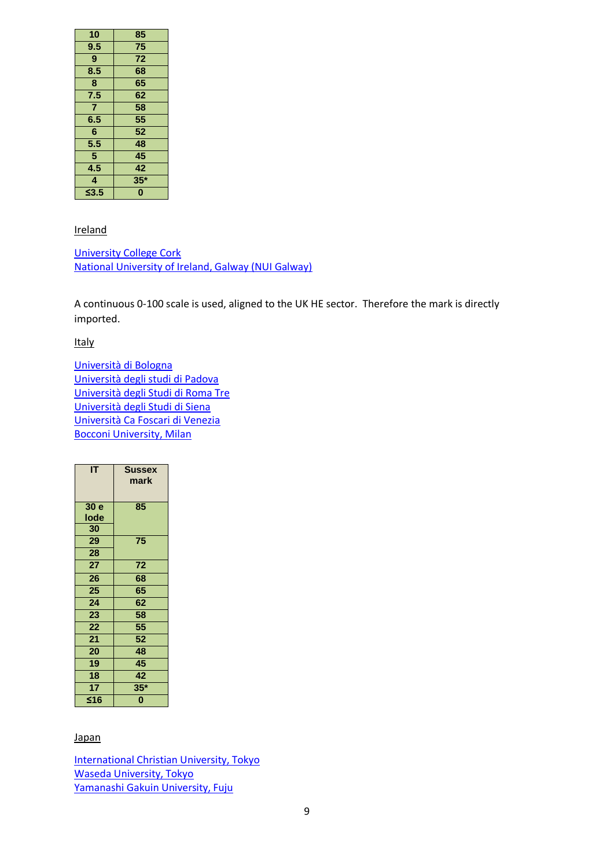| 10                      | 85       |
|-------------------------|----------|
| 9.5                     | 75       |
| 9                       | 72       |
| 8.5                     | 68       |
| 8                       | 65       |
| 7.5                     | 62       |
| $\overline{7}$          | 58       |
| 6.5                     | 55       |
| 6                       | 52       |
| 5.5                     | 48       |
| $\overline{\mathbf{5}}$ | 45       |
| 4.5                     | 42       |
| 4                       | $35*$    |
| $\leq 3.5$              | $\bf{0}$ |
|                         |          |

**Ireland** 

[University College Cork](http://www.ucc.ie/en/) [National University of Ireland, Galway \(NUI Galway\)](http://www.nuigalway.ie/)

A continuous 0-100 scale is used, aligned to the UK HE sector. Therefore the mark is directly imported.

#### **Italy**

[Università di Bologna](http://www.unibo.it/Portale/default.htm) [Università degli studi di Padova](http://www.unipd.it/) [Università degli Studi di Roma Tre](http://www.uniroma3.it/) [Università degli Studi di Siena](http://www.unisi.it/) [Università Ca Foscari di Venezia](http://www.unive.it/nqcontent.cfm?a_id=1) [Bocconi University, Milan](http://www.unibocconi.eu/wps/wcm/connect/Bocconi/SitoPubblico_EN/Navigation+Tree/Home/Services/International+Relations/International+Students/International+Student+Desk/)

| IT              | <b>Sussex</b><br>mark |
|-----------------|-----------------------|
| 30 e            | 85                    |
| lode<br>30      |                       |
| 29              | 75                    |
| 28<br>27        | 72                    |
| 26              | 68                    |
| $\overline{25}$ | 65                    |
| 24<br>23        | 62<br>58              |
| $\overline{22}$ | 55                    |
| 21              | 52                    |
| 20<br>19        | 48<br>45              |
| 18              | 42                    |
| 17              | $35*$                 |
| ≤16             | 0                     |

Japan

[International Christian University, Tokyo](http://www.icu.ac.jp/index_e.html) [Waseda University, Tokyo](http://www.waseda.jp/top/index-e.html) [Yamanashi Gakuin University, Fuju](http://www.ygu.ac.jp/index.php)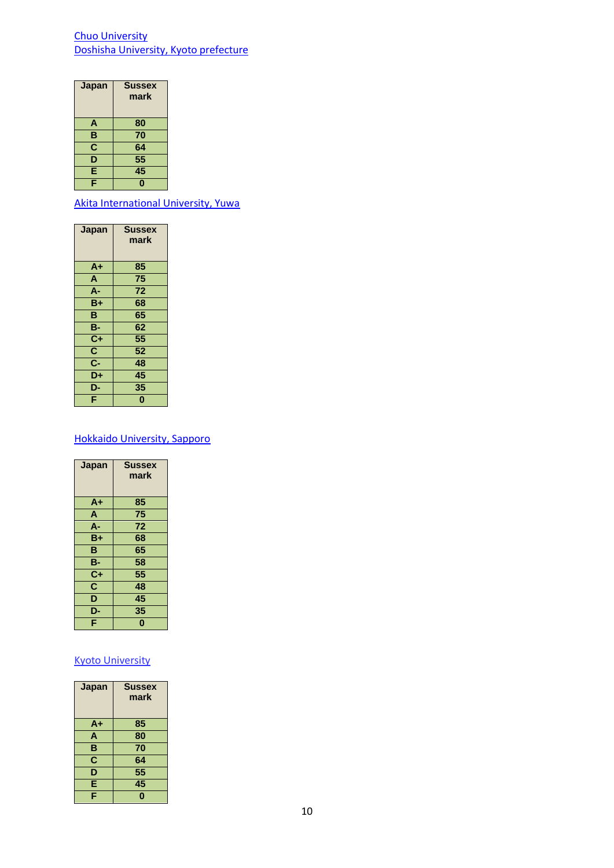## [Chuo University](http://global.chuo-u.ac.jp/english/) [Doshisha University, Kyoto prefecture](https://www.doshisha.ac.jp/en/)

| Japan | <b>Sussex</b><br>mark |
|-------|-----------------------|
| A     | 80                    |
| B     | 70                    |
| C     | 64                    |
| D     | $\overline{55}$       |
| Ē     | 45                    |
| F     |                       |

# [Akita International University, Yuwa](https://www.aiu.ac.jp/)

| Japan                     | <b>Sussex</b><br>mark |
|---------------------------|-----------------------|
| $A+$                      | 85                    |
| A                         | 75                    |
| A-                        | 72                    |
| $B+$                      | 68                    |
| B                         | 65                    |
| <b>B-</b>                 | 62                    |
| $\overline{\text{C+}}$    | 55                    |
| $\overline{\mathbf{c}}$   | 52                    |
| $\overline{\mathsf{c}}$ - | 48                    |
| D+                        | 45                    |
| D-                        | 35                    |
| F                         | O                     |

## [Hokkaido University, Sapporo](http://www.oia.hokudai.ac.jp/prospective-students/exchange-student-admissions/exchange-programs-in-english-hustep/)

| Japan                   | <b>Sussex</b><br>mark |
|-------------------------|-----------------------|
| A+                      | 85                    |
| A                       | 75                    |
| А-                      | 72                    |
| $B+$                    | 68                    |
| B                       | 65                    |
| <b>B-</b>               | 58                    |
| $C+$                    | 55                    |
| $\overline{\mathsf{c}}$ | 48                    |
| D                       | 45                    |
| D-                      | 35                    |
|                         | Ô                     |

## [Kyoto University](http://www.kyoto-u.ac.jp/en)

| Japan                   | <b>Sussex</b><br>mark |
|-------------------------|-----------------------|
| A+                      | 85                    |
| A                       | 80                    |
| В                       | 70                    |
| $\overline{\mathbf{c}}$ | 64                    |
| $\overline{\mathsf{D}}$ | 55                    |
| Ē                       | 45                    |
| F                       |                       |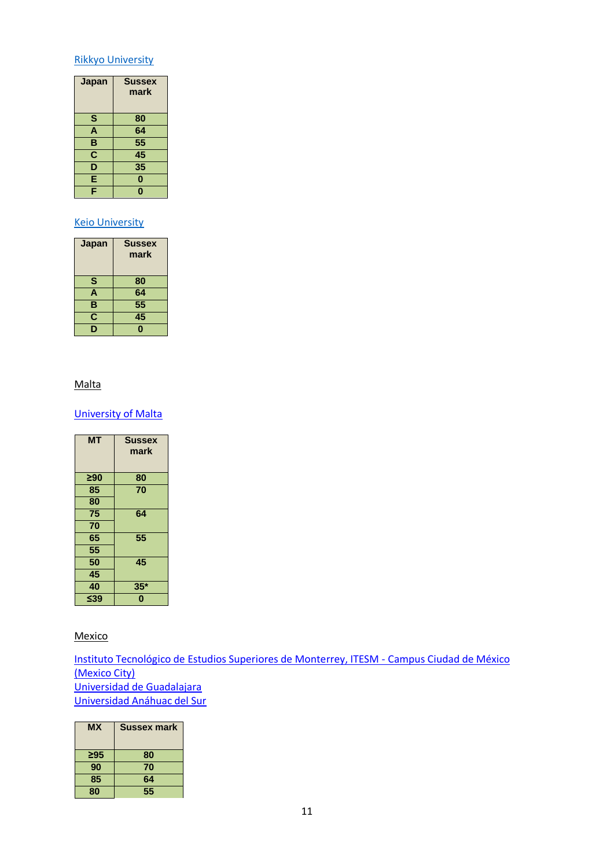#### [Rikkyo University](https://english.rikkyo.ac.jp/)

| Japan                   | <b>Sussex</b><br>mark |
|-------------------------|-----------------------|
| $\overline{\mathbf{s}}$ | 80                    |
| A                       | 64                    |
| В                       | 55                    |
| $\overline{\mathbf{c}}$ | 45                    |
| D                       | 35                    |
| E                       | 0                     |
|                         |                       |

#### **[Keio University](https://www.keio.ac.jp/en/)**

| Japan                   | <b>Sussex</b><br>mark |
|-------------------------|-----------------------|
| S                       | 80                    |
| A                       | 64                    |
| B                       | 55                    |
| $\overline{\mathbf{c}}$ | 45                    |
| Ò                       | n                     |

#### **Malta**

## [University of Malta](http://www.um.edu.mt/)

| <b>MT</b> | <b>Sussex</b><br>mark |
|-----------|-----------------------|
| $\geq 90$ | 80                    |
| 85        | 70                    |
| 80        |                       |
| 75        | 64                    |
| 70        |                       |
| 65        | 55                    |
| 55        |                       |
| 50        | 45                    |
| 45        |                       |
| 40        | $35*$                 |
| ≤39       | 0                     |

## **Mexico**

[Instituto Tecnológico de Estudios Superiores de Monterrey, ITESM -](http://www.ccm.itesm.mx/internacional/) Campus Ciudad de México [\(Mexico City\)](http://www.ccm.itesm.mx/internacional/) [Universidad de Guadalajara](http://www.udg.mx/) [Universidad Anáhuac del Sur](http://ols.uas.mx/infoweb/)

| мx        | <b>Sussex mark</b> |
|-----------|--------------------|
| $\geq 95$ | 80                 |
| 90        | 70                 |
| 85        | 64                 |
| 80        | 55                 |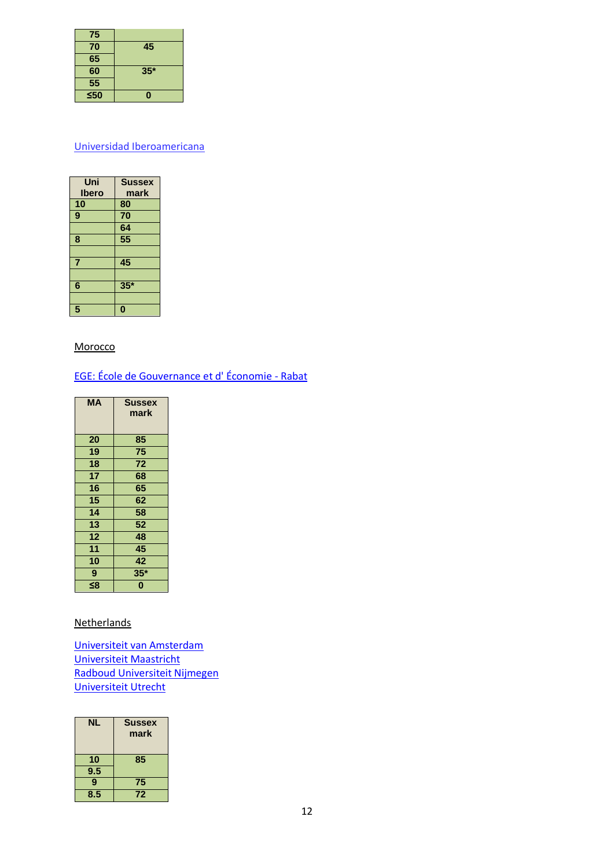| 75              |       |
|-----------------|-------|
| 70              | 45    |
| 65              |       |
| 60              | $35*$ |
| $\overline{55}$ |       |
| $≤50$           |       |

# [Universidad Iberoamericana](http://ibero.mx/index.php)

| Uni<br>Ibero   | <b>Sussex</b><br>mark |
|----------------|-----------------------|
| 10             | 80                    |
| 9              | 70                    |
|                | 64                    |
| 8              | 55                    |
|                |                       |
| $\overline{7}$ | 45                    |
|                |                       |
| 6              | $35*$                 |
|                |                       |
| 5              |                       |

#### **Morocco**

# [EGE: École de Gouvernance et d' Économie -](http://www.egerabat.com/) Rabat

| <b>MA</b> | <b>Sussex</b><br>mark |
|-----------|-----------------------|
| 20        | 85                    |
| 19        | 75                    |
| 18        | 72                    |
| 17        | 68                    |
| 16        | 65                    |
| 15        | 62                    |
| 14        | 58                    |
| 13        | 52                    |
| 12        | 48                    |
| 11        | 45                    |
| 10        | 42                    |
| 9         | $35*$                 |
| ≤8        | 0                     |

## **Netherlands**

[Universiteit van Amsterdam](http://www.uva.nl/start.cfm) [Universiteit Maastricht](http://www.fdcw.unimaas.nl/) [Radboud Universiteit Nijmegen](http://www.ru.nl/english/) [Universiteit Utrecht](http://www.uu.nl/uupublish/homeuu/1main.html)

| NL. | <b>Sussex</b><br>mark |
|-----|-----------------------|
| 10  | 85                    |
| 9.5 |                       |
| 9   | 75                    |
| 8.5 | 72                    |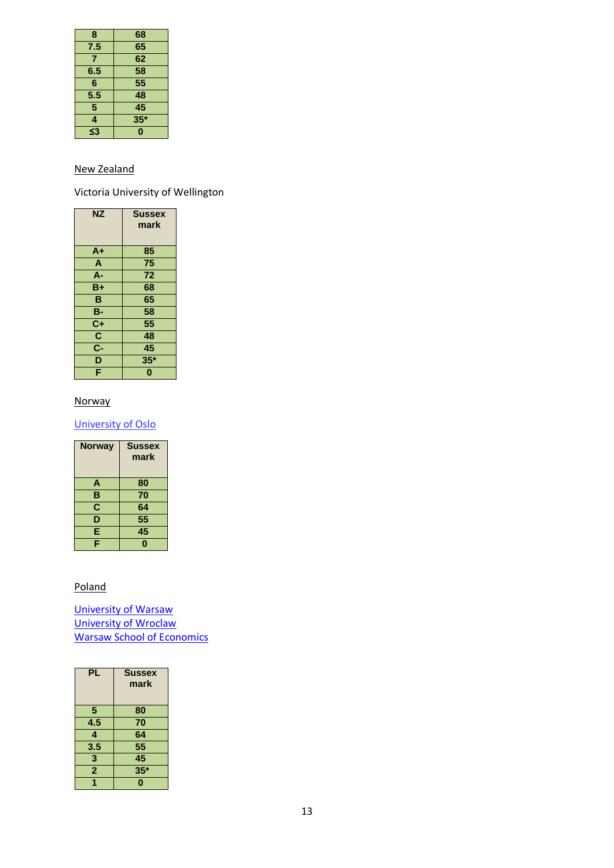| 8   | 68              |
|-----|-----------------|
| 7.5 | 65              |
| 7   | 62              |
| 6.5 | 58              |
| 6   | $\overline{55}$ |
| 5.5 | 48              |
| 5   | 45              |
| 4   | $35*$           |
| ≤3  | n               |

## New Zealand

Victoria University of Wellington

| $\overline{\textsf{NZ}}$ | <b>Sussex</b><br>mark |
|--------------------------|-----------------------|
| $A+$                     | 85                    |
| A                        | 75                    |
| A-                       | 72                    |
| B+                       | 68                    |
| B                        | 65                    |
| <b>B-</b>                | 58                    |
| $C+$                     | 55                    |
| $\overline{\mathsf{c}}$  | 48                    |
| $\overline{\mathbf{C}}$  | 45                    |
| $\overline{\mathsf{D}}$  | $35*$                 |
| F                        | O                     |

## **Norway**

# [University of Oslo](https://www.uio.no/english/)

| <b>Norway</b>           | <b>Sussex</b><br>mark |
|-------------------------|-----------------------|
| A                       | 80                    |
| B                       | 70                    |
| $\overline{\mathsf{c}}$ | 64                    |
| D                       | 55                    |
| E                       | 45                    |
| F                       | Π                     |

# Poland

[University of Warsaw](http://www.uw.edu.pl/) [University of Wroclaw](http://international.uni.wroc.pl/) [Warsaw School of Economics](http://www.sgh.waw.pl/)

| <b>PL</b>               | <b>Sussex</b><br>mark |
|-------------------------|-----------------------|
| 5                       | 80                    |
| 4.5                     | 70                    |
| 4                       | 64                    |
| 3.5                     | 55                    |
| 3                       | $\overline{45}$       |
| $\overline{\mathbf{c}}$ | $35*$                 |
|                         |                       |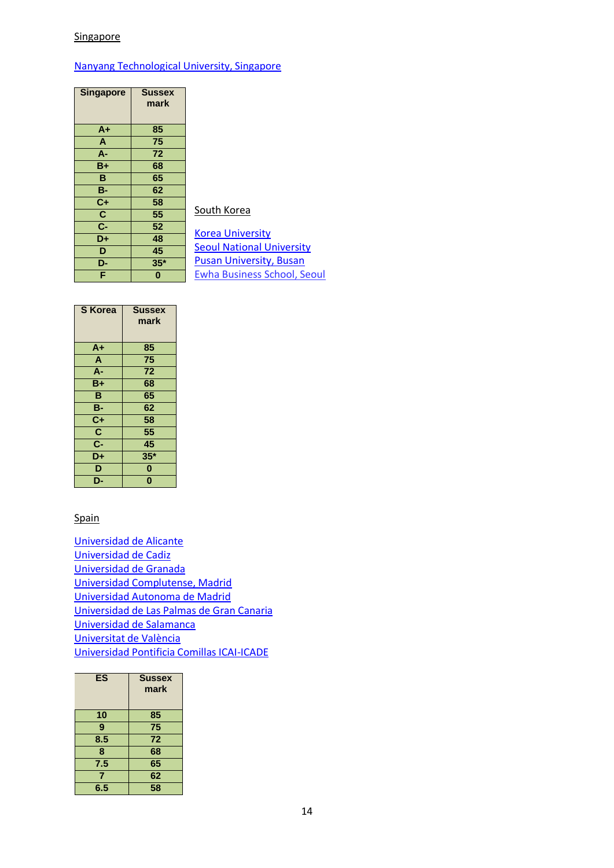### **Singapore**

## [Nanyang Technological University, Singapore](http://www.ntu.edu.sg/Pages/home.aspx)

| <b>Singapore</b>        | <b>Sussex</b><br>mark |
|-------------------------|-----------------------|
| $A+$                    | 85                    |
| A                       | 75                    |
| А-                      | 72                    |
| $B+$                    | 68                    |
| B                       | 65                    |
| в-                      | 62                    |
| $c_{+}$                 | 58                    |
| $\overline{\mathbf{c}}$ | 55                    |
| $\overline{C}$          | 52                    |
| D+                      | 48                    |
| D                       | 45                    |
| D-                      | $35*$                 |
| F                       | $\bf{0}$              |

#### South Korea

[Korea University](http://www.korea.edu/) **[Seoul National University](http://www.useoul.edu/)** [Pusan University, Busan](http://english.pusan.ac.kr/uPNU_homepage/en/default.asp) [Ewha Business School, Seoul](http://biz.ewha.ac.kr/eng/)

| <b>S</b> Korea | <b>Sussex</b><br>mark |
|----------------|-----------------------|
| $A+$           | 85                    |
| A              | 75                    |
| A-             | 72                    |
| B+             | 68                    |
| B              | 65                    |
| <b>B-</b>      | 62                    |
| $C+$           | 58                    |
| $\overline{c}$ | 55                    |
| $\overline{C}$ | 45                    |
| D+             | $35*$                 |
| D              | $\bf{0}$              |
| D-             | $\bf{0}$              |

#### Spain

[Universidad de Alicante](http://www.ua.es/) [Universidad de Cadiz](http://www.uca.es/) [Universidad de Granada](http://www.ugr.es/) [Universidad Complutense, Madrid](http://www.ucm.es/) [Universidad Autonoma de Madrid](http://www.uam.es/) [Universidad de Las Palmas de Gran Canaria](http://www.ulpgc.es/) [Universidad de Salamanca](http://www.usal.es/web-usal/) [Universitat de València](http://www.uv.es/en) [Universidad Pontificia Comillas ICAI-ICADE](http://www.upcomillas.es/es/internacional/para-estudiantes-extranjeros/programas-para-extranjeros)

| <b>ES</b>       | <b>Sussex</b><br>mark |
|-----------------|-----------------------|
| $\overline{10}$ | 85                    |
| 9               | 75                    |
| 8.5             | 72                    |
| 8               | 68                    |
| 7.5             | 65                    |
|                 | 62                    |
| 6.5             | 58                    |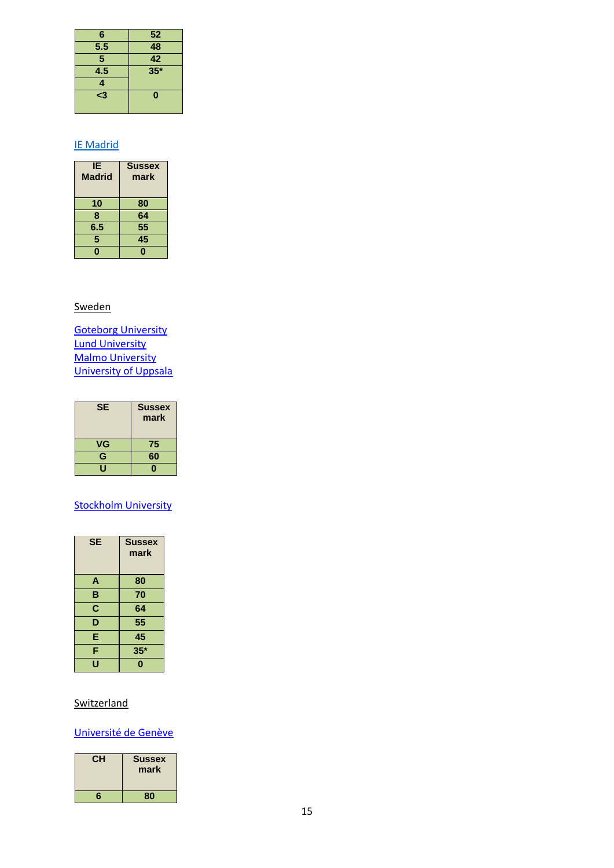| 6   | 52              |
|-----|-----------------|
| 5.5 | 48              |
| 5   | $\overline{42}$ |
| 4.5 | $35*$           |
| 4   |                 |
| $3$ | 0               |
|     |                 |

## [IE Madrid](https://www.ie.edu/)

| ΙE<br><b>Madrid</b> | <b>Sussex</b><br>mark |
|---------------------|-----------------------|
| 10                  | 80                    |
| 8                   | 64                    |
| 6.5                 | 55                    |
| 5                   | 45                    |
| ი                   |                       |

## **Sweden**

**[Goteborg University](http://www.gu.se/english/)** [Lund University](http://www.lunduniversity.lu.se/) [Malmo University](http://www.mah.se/) [University of Uppsala](http://www.uu.se/)

| <b>SE</b> | <b>Sussex</b><br>mark |
|-----------|-----------------------|
| VG        | 75                    |
| G         | 60                    |
| U         | n                     |

# [Stockholm University](http://www.su.se/)

| <b>SE</b> | <b>Sussex</b><br>mark |
|-----------|-----------------------|
| A         | 80                    |
| в         | 70                    |
| C         | 64                    |
| D         | 55                    |
| E         | 45                    |
| F         | $35*$                 |
| U         | በ                     |

## **Switzerland**

# [Université de Genève](http://www.unige.ch/)

| CН | <b>Sussex</b><br>mark |
|----|-----------------------|
| 6  | 80                    |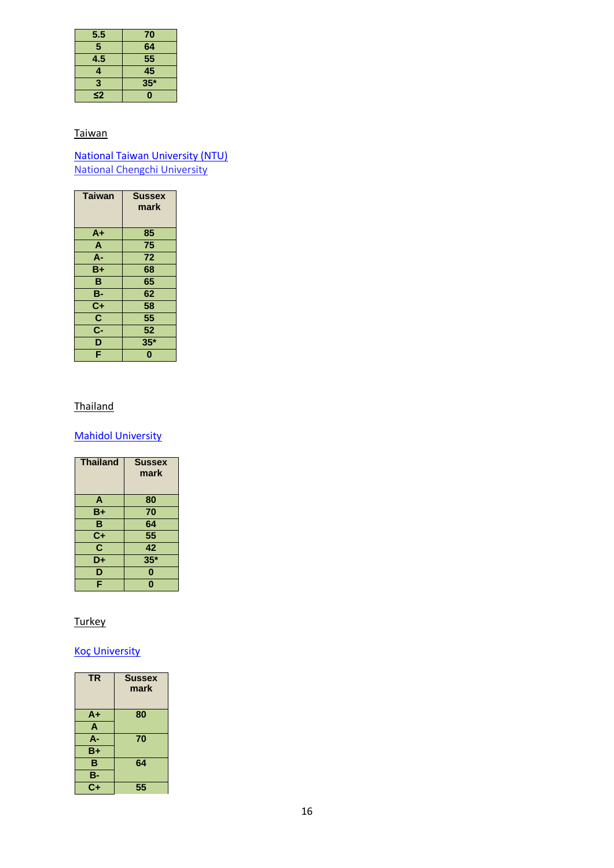| 5.5    | 70              |
|--------|-----------------|
| 5      | 64              |
| 4.5    | $\overline{55}$ |
| 4      | 45              |
| 3      | $35*$           |
| $\leq$ | ი               |

## Taiwan

[National Taiwan University \(NTU\)](http://www.ntu.edu.tw/engv4/) [National Chengchi University](http://www.nccu.edu.tw/?locale=en)

| <b>Taiwan</b>           | <b>Sussex</b><br>mark |
|-------------------------|-----------------------|
| A+                      | 85                    |
| A                       | 75                    |
| A-                      | 72                    |
| B+                      | 68                    |
| B                       | 65                    |
| <b>B-</b>               | 62                    |
| $\overline{C}$          | 58                    |
| $\overline{\mathsf{c}}$ | $\overline{55}$       |
| $\overline{\mathsf{C}}$ | 52                    |
| D                       | $35*$                 |
| Ē                       | n                     |

## **Thailand**

# **[Mahidol University](http://www.muic.mahidol.ac.th/eng/)**

| <b>Thailand</b>         | <b>Sussex</b><br>mark |
|-------------------------|-----------------------|
| A                       | 80                    |
| $B+$                    | 70                    |
| B                       | 64                    |
| $C+$                    | 55                    |
| $\overline{\mathsf{c}}$ | 42                    |
| D+                      | $35*$                 |
| D                       | 0                     |
| ŧ                       | n                     |

# **Turkey**

# [Koç University](http://www.ku.edu.tr/en)

| <b>TR</b> | <b>Sussex</b><br>mark |
|-----------|-----------------------|
| A+        | 80                    |
| Ä         |                       |
| А-        | 70                    |
| $B+$      |                       |
| B         | 64                    |
| B-        |                       |
| C+        | 55                    |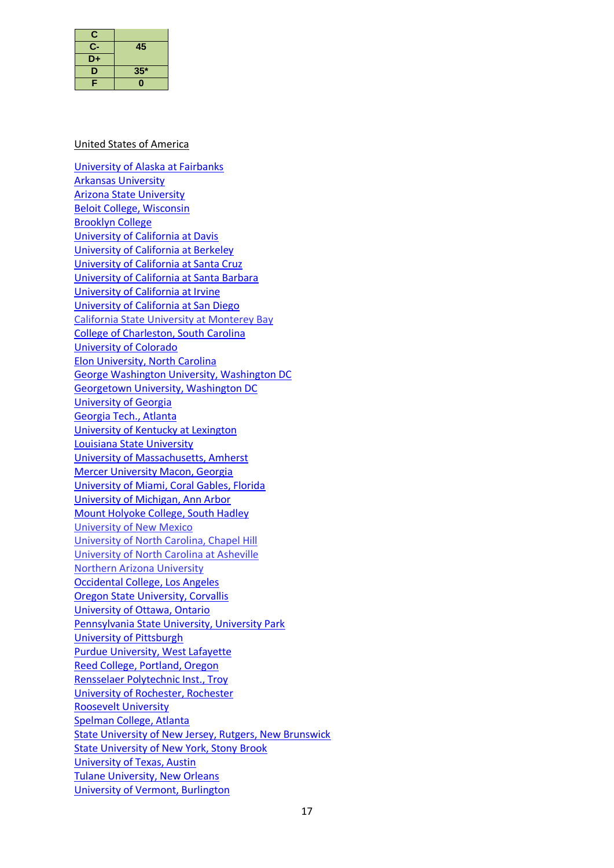| C  |       |
|----|-------|
| Ç. | 45    |
| D+ |       |
| D  | $35*$ |
| F  | Ω     |

#### United States of America

[University of Alaska at Fairbanks](http://www.alaska.edu/) [Arkansas University](http://www.uark.edu/home/) [Arizona State University](http://www.asu.edu/) [Beloit College, Wisconsin](http://www.beloit.edu/) [Brooklyn College](http://www.brooklyn.cuny.edu/web/home.php) [University of California at Davis](http://www.ucdavis.edu/index.html) [University of California at Berkeley](http://www.berkeley.edu/) [University of California at Santa Cruz](http://www.ucsc.edu/public/) [University of California at Santa Barbara](http://www.ucsb.edu/) [University of California at Irvine](http://www.uci.edu/) [University of California at San Diego](http://www.ucsd.edu/portal/site/ucsd) [California State University at Monterey Bay](https://csumb.edu/) [College of Charleston, South Carolina](http://www.cofc.edu/) [University of Colorado](https://www.cu.edu/) [Elon University, North Carolina](http://www.elon.edu/home/) [George Washington University, Washington DC](http://www.gwu.edu/index.cfm) [Georgetown University, Washington DC](http://www.georgetown.edu/) [University of Georgia](http://www.uga.edu/) [Georgia Tech., Atlanta](http://www.gatech.edu/) [University of Kentucky at Lexington](http://www.uky.edu/) [Louisiana State University](http://www.lsu.edu/) [University of Massachusetts, Amherst](http://www.umass.edu/) [Mercer University Macon, Georgia](http://mercer.edu/) [University of Miami, Coral Gables, Florida](http://www6.miami.edu/UMH/CDA/UMH_Main/) [University of Michigan, Ann Arbor](http://www.umich.edu/) [Mount Holyoke College, South Hadley](http://www.mtholyoke.edu/) [University of New Mexico](https://www.unm.edu/) [University of North Carolina, Chapel Hill](http://www.unc.edu/) [University of North Carolina at Asheville](https://www.unca.edu/) [Northern Arizona University](http://nau.edu/) [Occidental College, Los Angeles](http://www.oxy.edu/) [Oregon State University, Corvallis](http://oregonstate.edu/) [University of Ottawa, Ontario](http://www.uottawa.ca/en) [Pennsylvania State University, University Park](http://www.psu.edu/) [University of Pittsburgh](http://www.pitt.edu/) [Purdue University, West Lafayette](http://www.purdue.edu/) [Reed College, Portland, Oregon](http://www.reed.edu/) [Rensselaer Polytechnic Inst., Troy](http://www.rpi.edu/) [University of Rochester, Rochester](http://www.rochester.edu/) [Roosevelt University](http://www.roosevelt.edu/) [Spelman College, Atlanta](http://www.spelman.edu/) [State University of New Jersey, Rutgers, New Brunswick](http://www.rutgers.edu/) [State University of New York, Stony Brook](http://www.sunysb.edu/) [University of Texas, Austin](http://www.utexas.edu/) [Tulane University, New Orleans](http://tulane.edu/) [University of Vermont, Burlington](http://www.uvm.edu/)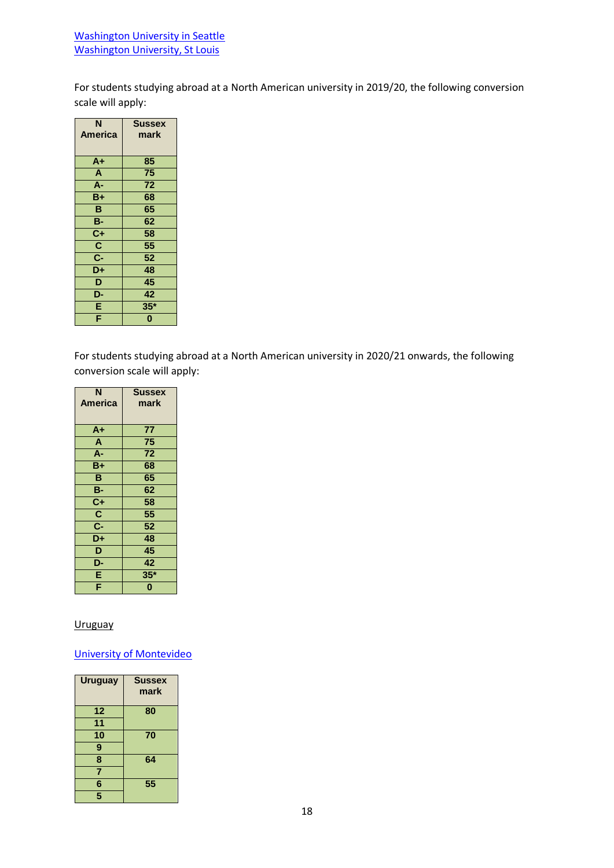For students studying abroad at a North American university in 2019/20, the following conversion scale will apply:

| N                       | <b>Sussex</b>           |
|-------------------------|-------------------------|
| <b>America</b>          | mark                    |
|                         |                         |
| $A+$                    | 85                      |
| A                       | 75                      |
| A-                      | 72                      |
| $B+$                    | 68                      |
| B                       | 65                      |
| <b>B-</b>               | 62                      |
| $C+$                    | 58                      |
| $\overline{\mathbf{c}}$ | 55                      |
| $\overline{C}$          | 52                      |
| D+                      | 48                      |
| D                       | 45                      |
| D-                      | 42                      |
| E                       | $35*$                   |
| Ē                       | $\overline{\mathbf{0}}$ |

For students studying abroad at a North American university in 2020/21 onwards, the following conversion scale will apply:

| N                         | <b>Sussex</b> |
|---------------------------|---------------|
| <b>America</b>            | mark          |
|                           |               |
| $A+$                      | 77            |
| A                         | 75            |
| A-                        | 72            |
| $B+$                      | 68            |
| B                         | 65            |
| <b>B-</b>                 | 62            |
| $C+$                      | 58            |
| $\overline{c}$            | 55            |
| $\overline{\mathsf{c}}$ - | 52            |
| D+                        | 48            |
| D                         | 45            |
| D-                        | 42            |
| Ē                         | $35*$         |
| F                         | 0             |

#### **Uruguay**

## [University of Montevideo](http://www.um.edu.uy/inscripciones2013/)

| <b>Uruguay</b> | <b>Sussex</b><br>mark |
|----------------|-----------------------|
| 12             | 80                    |
| 11             |                       |
| 10             | 70                    |
| 9              |                       |
| 8              | 64                    |
| Ż              |                       |
| 6              | 55                    |
| 5              |                       |